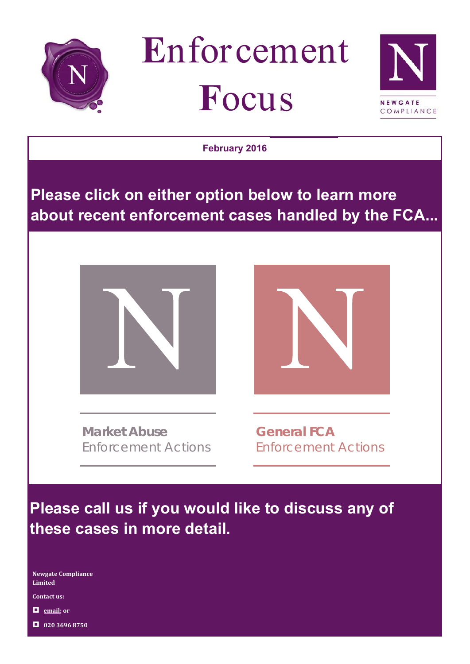

# **E**nforcement **F**ocus



**February 2016** 

## **Please click on either option below to learn more about recent enforcement cases handled by the FCA...**



**Market Abuse**  Enforcement Actions

**General FCA**  Enforcement Actions

**Please call us if you would like to discuss any of these cases in more detail.** 

**Newgate Compliance Limited**

**Contact us:**

**email; or**

**020 3696 8750**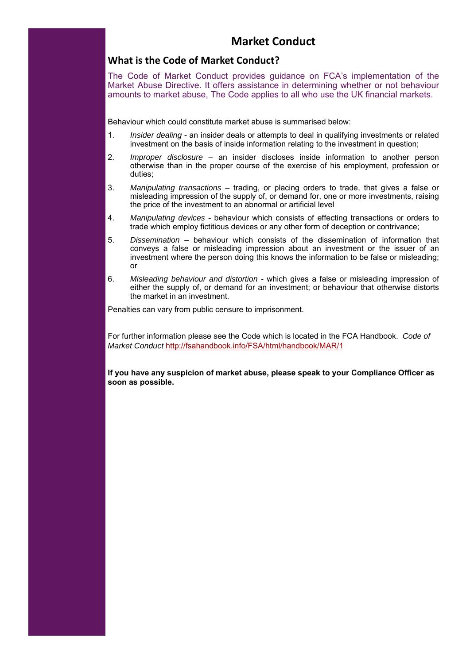## **Market Conduct**

## **What is the Code of Market Conduct?**

The Code of Market Conduct provides guidance on FCA's implementation of the Market Abuse Directive. It offers assistance in determining whether or not behaviour amounts to market abuse, The Code applies to all who use the UK financial markets.

Behaviour which could constitute market abuse is summarised below:

- 1. *Insider dealing* an insider deals or attempts to deal in qualifying investments or related investment on the basis of inside information relating to the investment in question;
- 2. *Improper disclosure*  an insider discloses inside information to another person otherwise than in the proper course of the exercise of his employment, profession or duties;
- 3. *Manipulating transactions*  trading, or placing orders to trade, that gives a false or misleading impression of the supply of, or demand for, one or more investments, raising the price of the investment to an abnormal or artificial level
- 4. *Manipulating devices* behaviour which consists of effecting transactions or orders to trade which employ fictitious devices or any other form of deception or contrivance;
- 5. *Dissemination* behaviour which consists of the dissemination of information that conveys a false or misleading impression about an investment or the issuer of an investment where the person doing this knows the information to be false or misleading; or
- 6. *Misleading behaviour and distortion -* which gives a false or misleading impression of either the supply of, or demand for an investment; or behaviour that otherwise distorts the market in an investment.

Penalties can vary from public censure to imprisonment.

For further information please see the Code which is located in the FCA Handbook. *Code of Market Conduct* http://fsahandbook.info/FSA/html/handbook/MAR/1

**If you have any suspicion of market abuse, please speak to your Compliance Officer as soon as possible.**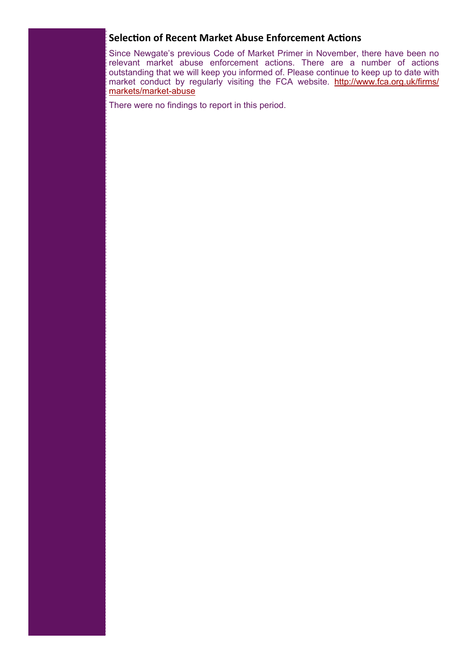## **Selection of Recent Market Abuse Enforcement Actions**

Since Newgate's previous Code of Market Primer in November, there have been no relevant market abuse enforcement actions. There are a number of actions outstanding that we will keep you informed of. Please continue to keep up to date with market conduct by regularly visiting the FCA website. http://www.fca.org.uk/firms/ markets/market-abuse

There were no findings to report in this period.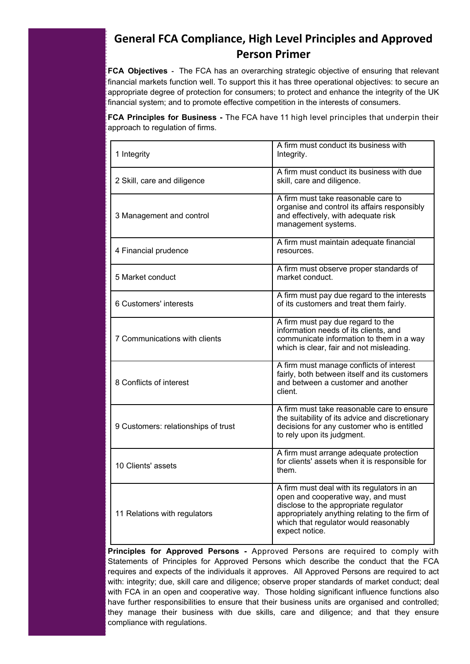## **General FCA Compliance, High Level Principles and Approved Person Primer**

**FCA Objectives** - The FCA has an overarching strategic objective of ensuring that relevant financial markets function well. To support this it has three operational objectives: to secure an appropriate degree of protection for consumers; to protect and enhance the integrity of the UK financial system; and to promote effective competition in the interests of consumers.

**FCA Principles for Business -** The FCA have 11 high level principles that underpin their approach to regulation of firms.

| 1 Integrity                         | A firm must conduct its business with<br>Integrity.                                                                                                                                                                                    |
|-------------------------------------|----------------------------------------------------------------------------------------------------------------------------------------------------------------------------------------------------------------------------------------|
| 2 Skill, care and diligence         | A firm must conduct its business with due<br>skill, care and diligence.                                                                                                                                                                |
| 3 Management and control            | A firm must take reasonable care to<br>organise and control its affairs responsibly<br>and effectively, with adequate risk<br>management systems.                                                                                      |
| 4 Financial prudence                | A firm must maintain adequate financial<br>resources.                                                                                                                                                                                  |
| 5 Market conduct                    | A firm must observe proper standards of<br>market conduct.                                                                                                                                                                             |
| 6 Customers' interests              | A firm must pay due regard to the interests<br>of its customers and treat them fairly.                                                                                                                                                 |
| 7 Communications with clients       | A firm must pay due regard to the<br>information needs of its clients, and<br>communicate information to them in a way<br>which is clear, fair and not misleading.                                                                     |
| 8 Conflicts of interest             | A firm must manage conflicts of interest<br>fairly, both between itself and its customers<br>and between a customer and another<br>client.                                                                                             |
| 9 Customers: relationships of trust | A firm must take reasonable care to ensure<br>the suitability of its advice and discretionary<br>decisions for any customer who is entitled<br>to rely upon its judgment.                                                              |
| 10 Clients' assets                  | A firm must arrange adequate protection<br>for clients' assets when it is responsible for<br>them.                                                                                                                                     |
| 11 Relations with regulators        | A firm must deal with its regulators in an<br>open and cooperative way, and must<br>disclose to the appropriate regulator<br>appropriately anything relating to the firm of<br>which that regulator would reasonably<br>expect notice. |

**Principles for Approved Persons -** Approved Persons are required to comply with Statements of Principles for Approved Persons which describe the conduct that the FCA requires and expects of the individuals it approves. All Approved Persons are required to act with: integrity; due, skill care and diligence; observe proper standards of market conduct; deal with FCA in an open and cooperative way. Those holding significant influence functions also have further responsibilities to ensure that their business units are organised and controlled; they manage their business with due skills, care and diligence; and that they ensure compliance with regulations.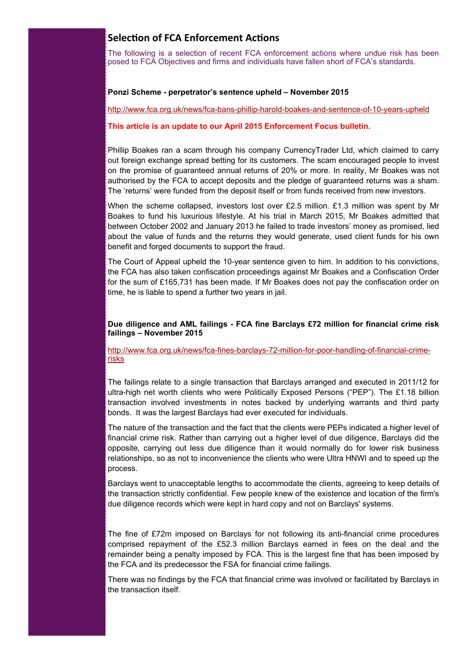### **Selection of FCA Enforcement Actions**

The following is a selection of recent FCA enforcement actions where undue risk has been posed to FCA Objectives and firms and individuals have fallen short of FCA's standards.

#### **Ponzi Scheme - perpetrator's sentence upheld – November 2015**

http://www.fca.org.uk/news/fca-bans-phillip-harold-boakes-and-sentence-of-10-years-upheld

#### **This article is an update to our April 2015 Enforcement Focus bulletin.**

Phillip Boakes ran a scam through his company CurrencyTrader Ltd, which claimed to carry out foreign exchange spread betting for its customers. The scam encouraged people to invest on the promise of guaranteed annual returns of 20% or more. In reality, Mr Boakes was not authorised by the FCA to accept deposits and the pledge of guaranteed returns was a sham. The 'returns' were funded from the deposit itself or from funds received from new investors.

When the scheme collapsed, investors lost over £2.5 million. £1.3 million was spent by Mr Boakes to fund his luxurious lifestyle. At his trial in March 2015, Mr Boakes admitted that between October 2002 and January 2013 he failed to trade investors' money as promised, lied about the value of funds and the returns they would generate, used client funds for his own benefit and forged documents to support the fraud.

The Court of Appeal upheld the 10-year sentence given to him. In addition to his convictions, the FCA has also taken confiscation proceedings against Mr Boakes and a Confiscation Order for the sum of £165,731 has been made. If Mr Boakes does not pay the confiscation order on time, he is liable to spend a further two years in jail.

#### **Due diligence and AML failings - FCA fine Barclays £72 million for financial crime risk failings – November 2015**

http://www.fca.org.uk/news/fca-fines-barclays-72-million-for-poor-handling-of-financial-crimerisks

The failings relate to a single transaction that Barclays arranged and executed in 2011/12 for ultra-high net worth clients who were Politically Exposed Persons ("PEP"). The £1.18 billion transaction involved investments in notes backed by underlying warrants and third party bonds. It was the largest Barclays had ever executed for individuals.

The nature of the transaction and the fact that the clients were PEPs indicated a higher level of financial crime risk. Rather than carrying out a higher level of due diligence, Barclays did the opposite, carrying out less due diligence than it would normally do for lower risk business relationships, so as not to inconvenience the clients who were Ultra HNWI and to speed up the process.

Barclays went to unacceptable lengths to accommodate the clients, agreeing to keep details of the transaction strictly confidential. Few people knew of the existence and location of the firm's due diligence records which were kept in hard copy and not on Barclays' systems.

The fine of £72m imposed on Barclays for not following its anti-financial crime procedures comprised repayment of the £52.3 million Barclays earned in fees on the deal and the remainder being a penalty imposed by FCA. This is the largest fine that has been imposed by the FCA and its predecessor the FSA for financial crime failings.

There was no findings by the FCA that financial crime was involved or facilitated by Barclays in the transaction itself.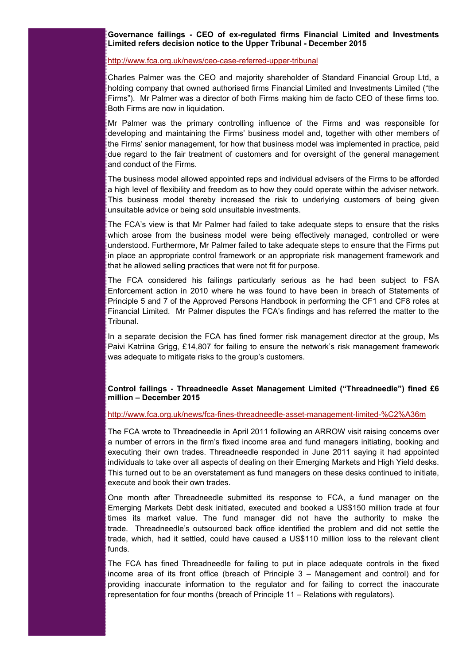#### **Governance failings - CEO of ex-regulated firms Financial Limited and Investments Limited refers decision notice to the Upper Tribunal - December 2015**

#### http://www.fca.org.uk/news/ceo-case-referred-upper-tribunal

Charles Palmer was the CEO and majority shareholder of Standard Financial Group Ltd, a holding company that owned authorised firms Financial Limited and Investments Limited ("the Firms"). Mr Palmer was a director of both Firms making him de facto CEO of these firms too. Both Firms are now in liquidation.

Mr Palmer was the primary controlling influence of the Firms and was responsible for developing and maintaining the Firms' business model and, together with other members of the Firms' senior management, for how that business model was implemented in practice, paid due regard to the fair treatment of customers and for oversight of the general management and conduct of the Firms.

The business model allowed appointed reps and individual advisers of the Firms to be afforded a high level of flexibility and freedom as to how they could operate within the adviser network. This business model thereby increased the risk to underlying customers of being given unsuitable advice or being sold unsuitable investments.

The FCA's view is that Mr Palmer had failed to take adequate steps to ensure that the risks which arose from the business model were being effectively managed, controlled or were understood. Furthermore, Mr Palmer failed to take adequate steps to ensure that the Firms put in place an appropriate control framework or an appropriate risk management framework and that he allowed selling practices that were not fit for purpose.

The FCA considered his failings particularly serious as he had been subject to FSA Enforcement action in 2010 where he was found to have been in breach of Statements of Principle 5 and 7 of the Approved Persons Handbook in performing the CF1 and CF8 roles at Financial Limited. Mr Palmer disputes the FCA's findings and has referred the matter to the Tribunal.

In a separate decision the FCA has fined former risk management director at the group, Ms Paivi Katriina Grigg, £14,807 for failing to ensure the network's risk management framework was adequate to mitigate risks to the group's customers.

#### **Control failings - Threadneedle Asset Management Limited ("Threadneedle") fined £6 million – December 2015**

#### http://www.fca.org.uk/news/fca-fines-threadneedle-asset-management-limited-%C2%A36m

The FCA wrote to Threadneedle in April 2011 following an ARROW visit raising concerns over a number of errors in the firm's fixed income area and fund managers initiating, booking and executing their own trades. Threadneedle responded in June 2011 saying it had appointed individuals to take over all aspects of dealing on their Emerging Markets and High Yield desks. This turned out to be an overstatement as fund managers on these desks continued to initiate, execute and book their own trades.

One month after Threadneedle submitted its response to FCA, a fund manager on the Emerging Markets Debt desk initiated, executed and booked a US\$150 million trade at four times its market value. The fund manager did not have the authority to make the trade. Threadneedle's outsourced back office identified the problem and did not settle the trade, which, had it settled, could have caused a US\$110 million loss to the relevant client funds.

The FCA has fined Threadneedle for failing to put in place adequate controls in the fixed income area of its front office (breach of Principle 3 – Management and control) and for providing inaccurate information to the regulator and for failing to correct the inaccurate representation for four months (breach of Principle 11 – Relations with regulators).